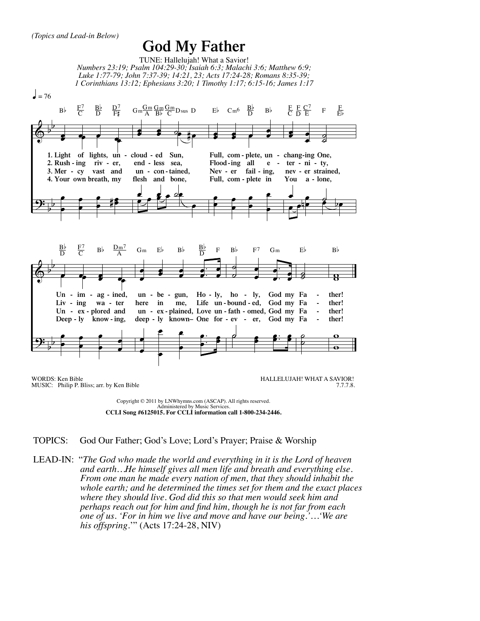## **God My Father**



Copyright © 2011 by LNWhymns.com (ASCAP). All rights reserved. Administered by Music Services. **CCLI Song #6125015. For CCLI information call 1-800-234-2446.**

## TOPICS: God Our Father; God's Love; Lord's Prayer; Praise & Worship

LEAD-IN: "*The God who made the world and everything in it is the Lord of heaven and earth…He himself gives all men life and breath and everything else. From one man he made every nation of men, that they should inhabit the whole earth; and he determined the times set for them and the exact places where they should live. God did this so that men would seek him and perhaps reach out for him and find him, though he is not far from each one of us. 'For in him we live and move and have our being.'…'We are his offspring*.'" (Acts 17:24-28, NIV)